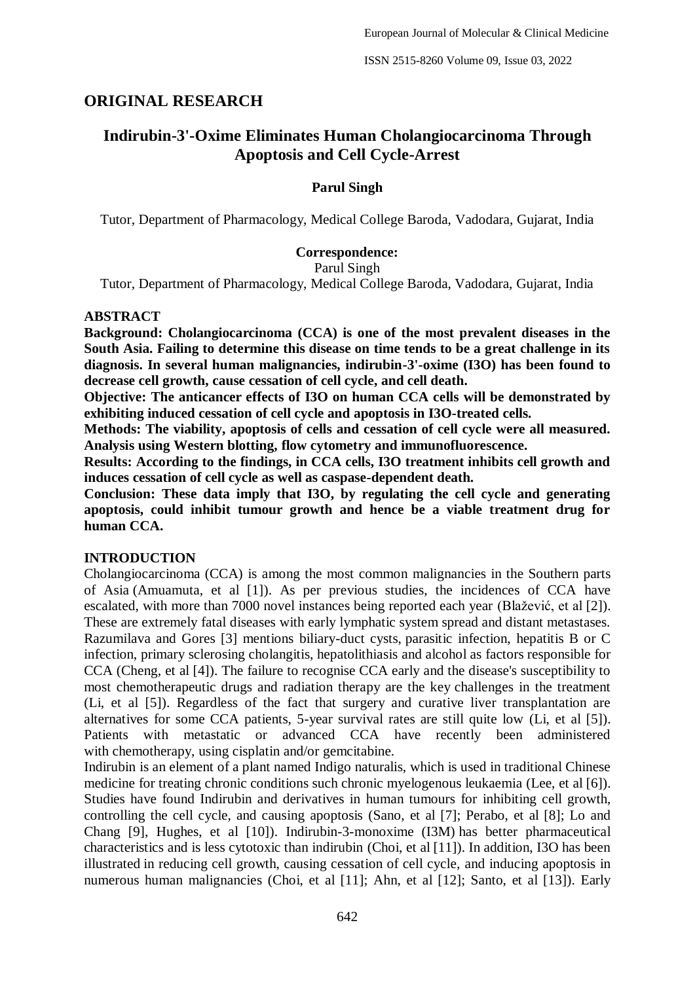# **ORIGINAL RESEARCH**

# **Indirubin-3'-Oxime Eliminates Human Cholangiocarcinoma Through Apoptosis and Cell Cycle-Arrest**

### **Parul Singh**

Tutor, Department of Pharmacology, Medical College Baroda, Vadodara, Gujarat, India

#### **Correspondence:**

Parul Singh

Tutor, Department of Pharmacology, Medical College Baroda, Vadodara, Gujarat, India

#### **ABSTRACT**

**Background: Cholangiocarcinoma (CCA) is one of the most prevalent diseases in the South Asia. Failing to determine this disease on time tends to be a great challenge in its diagnosis. In several human malignancies, indirubin-3'-oxime (I3O) has been found to decrease cell growth, cause cessation of cell cycle, and cell death.**

**Objective: The anticancer effects of I3O on human CCA cells will be demonstrated by exhibiting induced cessation of cell cycle and apoptosis in I3O-treated cells.**

**Methods: The viability, apoptosis of cells and cessation of cell cycle were all measured. Analysis using Western blotting, flow cytometry and immunofluorescence.**

**Results: According to the findings, in CCA cells, I3O treatment inhibits cell growth and induces cessation of cell cycle as well as caspase-dependent death.**

**Conclusion: These data imply that I3O, by regulating the cell cycle and generating apoptosis, could inhibit tumour growth and hence be a viable treatment drug for human CCA.**

#### **INTRODUCTION**

Cholangiocarcinoma (CCA) is among the most common malignancies in the Southern parts of Asia (Amuamuta, et al [1]). As per previous studies, the incidences of CCA have escalated, with more than 7000 novel instances being reported each year (Blažević, et al [2]). These are extremely fatal diseases with early lymphatic system spread and distant metastases. Razumilava and Gores [3] mentions biliary-duct cysts, parasitic infection, hepatitis B or C infection, primary sclerosing cholangitis, hepatolithiasis and alcohol as factors responsible for CCA (Cheng, et al [4]). The failure to recognise CCA early and the disease's susceptibility to most chemotherapeutic drugs and radiation therapy are the key challenges in the treatment (Li, et al [5]). Regardless of the fact that surgery and curative liver transplantation are alternatives for some CCA patients, 5-year survival rates are still quite low (Li, et al [5]). Patients with metastatic or advanced CCA have recently been administered with chemotherapy, using cisplatin and/or gemcitabine.

Indirubin is an element of a plant named Indigo naturalis, which is used in traditional Chinese medicine for treating chronic conditions such chronic myelogenous leukaemia (Lee, et al [6]). Studies have found Indirubin and derivatives in human tumours for inhibiting cell growth, controlling the cell cycle, and causing apoptosis (Sano, et al [7]; Perabo, et al [8]; Lo and Chang [9], Hughes, et al [10]). Indirubin-3-monoxime (I3M) has better pharmaceutical characteristics and is less cytotoxic than indirubin (Choi, et al [11]). In addition, I3O has been illustrated in reducing cell growth, causing cessation of cell cycle, and inducing apoptosis in numerous human malignancies (Choi, et al [11]; Ahn, et al [12]; Santo, et al [13]). Early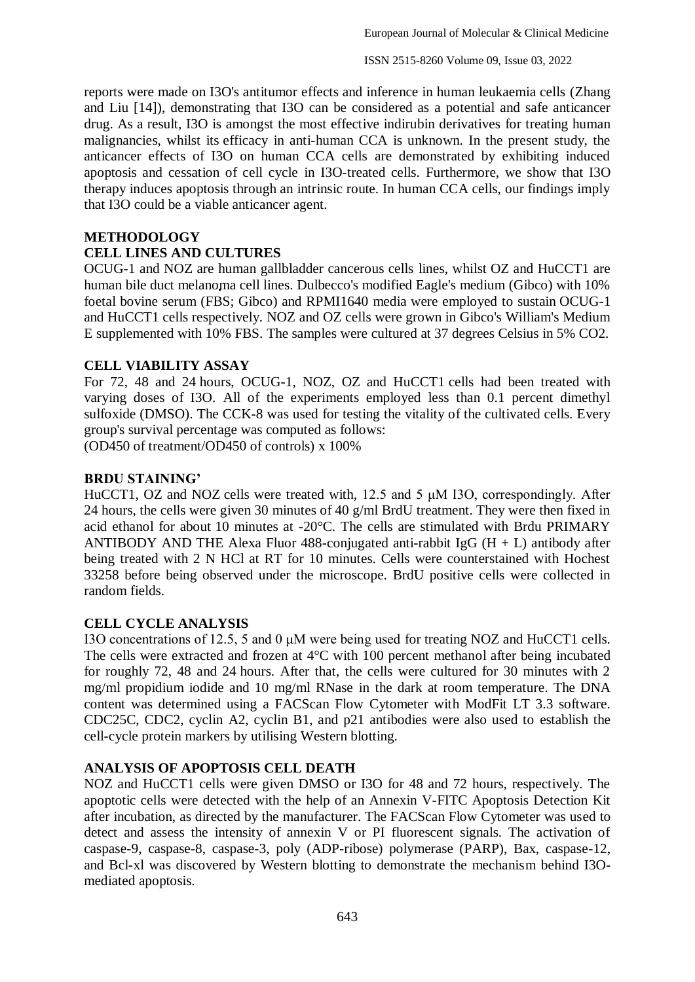reports were made on I3O's antitumor effects and inference in human leukaemia cells (Zhang and Liu [14]), demonstrating that I3O can be considered as a potential and safe anticancer drug. As a result, I3O is amongst the most effective indirubin derivatives for treating human malignancies, whilst its efficacy in anti-human CCA is unknown. In the present study, the anticancer effects of I3O on human CCA cells are demonstrated by exhibiting induced apoptosis and cessation of cell cycle in I3O-treated cells. Furthermore, we show that I3O therapy induces apoptosis through an intrinsic route. In human CCA cells, our findings imply that I3O could be a viable anticancer agent.

### **METHODOLOGY**

### **CELL LINES AND CULTURES**

OCUG-1 and NOZ are human gallbladder cancerous cells lines, whilst OZ and HuCCT1 are human bile duct melanoma cell lines. Dulbecco's modified Eagle's medium (Gibco) with 10% foetal bovine serum (FBS; Gibco) and RPMI1640 media were employed to sustain OCUG-1 and HuCCT1 cells respectively. NOZ and OZ cells were grown in Gibco's William's Medium E supplemented with 10% FBS. The samples were cultured at 37 degrees Celsius in 5% CO2.

### **CELL VIABILITY ASSAY**

For 72, 48 and 24 hours, OCUG-1, NOZ, OZ and HuCCT1 cells had been treated with varying doses of I3O. All of the experiments employed less than 0.1 percent dimethyl sulfoxide (DMSO). The CCK-8 was used for testing the vitality of the cultivated cells. Every group's survival percentage was computed as follows:

(OD450 of treatment/OD450 of controls) x 100%

#### **BRDU STAINING'**

HuCCT1, OZ and NOZ cells were treated with, 12.5 and 5 μM I3O, correspondingly. After 24 hours, the cells were given 30 minutes of 40 g/ml BrdU treatment. They were then fixed in acid ethanol for about 10 minutes at -20°C. The cells are stimulated with Brdu PRIMARY ANTIBODY AND THE Alexa Fluor 488-conjugated anti-rabbit IgG  $(H + L)$  antibody after being treated with 2 N HCl at RT for 10 minutes. Cells were counterstained with Hochest 33258 before being observed under the microscope. BrdU positive cells were collected in random fields.

### **CELL CYCLE ANALYSIS**

I3O concentrations of 12.5, 5 and 0 μM were being used for treating NOZ and HuCCT1 cells. The cells were extracted and frozen at 4°C with 100 percent methanol after being incubated for roughly 72, 48 and 24 hours. After that, the cells were cultured for 30 minutes with 2 mg/ml propidium iodide and 10 mg/ml RNase in the dark at room temperature. The DNA content was determined using a FACScan Flow Cytometer with ModFit LT 3.3 software. CDC25C, CDC2, cyclin A2, cyclin B1, and p21 antibodies were also used to establish the cell-cycle protein markers by utilising Western blotting.

### **ANALYSIS OF APOPTOSIS CELL DEATH**

NOZ and HuCCT1 cells were given DMSO or I3O for 48 and 72 hours, respectively. The apoptotic cells were detected with the help of an Annexin V-FITC Apoptosis Detection Kit after incubation, as directed by the manufacturer. The FACScan Flow Cytometer was used to detect and assess the intensity of annexin V or PI fluorescent signals. The activation of caspase-9, caspase-8, caspase-3, poly (ADP-ribose) polymerase (PARP), Bax, caspase-12, and Bcl-xl was discovered by Western blotting to demonstrate the mechanism behind I3Omediated apoptosis.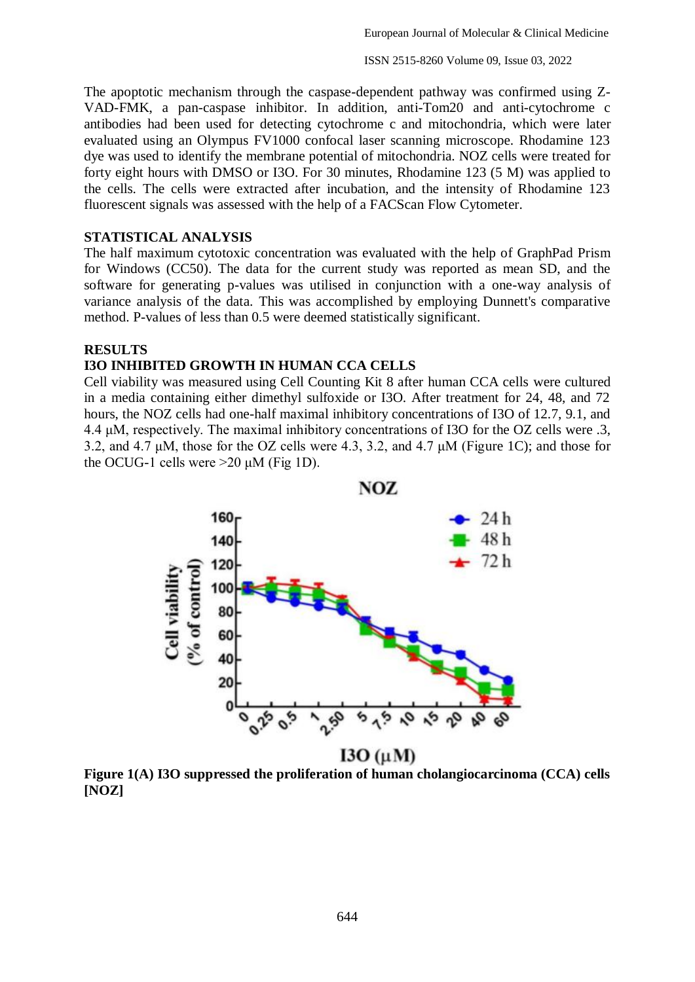The apoptotic mechanism through the caspase-dependent pathway was confirmed using Z-VAD-FMK, a pan-caspase inhibitor. In addition, anti-Tom20 and anti-cytochrome c antibodies had been used for detecting cytochrome c and mitochondria, which were later evaluated using an Olympus FV1000 confocal laser scanning microscope. Rhodamine 123 dye was used to identify the membrane potential of mitochondria. NOZ cells were treated for forty eight hours with DMSO or I3O. For 30 minutes, Rhodamine 123 (5 M) was applied to the cells. The cells were extracted after incubation, and the intensity of Rhodamine 123 fluorescent signals was assessed with the help of a FACScan Flow Cytometer.

# **STATISTICAL ANALYSIS**

The half maximum cytotoxic concentration was evaluated with the help of GraphPad Prism for Windows (CC50). The data for the current study was reported as mean SD, and the software for generating p-values was utilised in conjunction with a one-way analysis of variance analysis of the data. This was accomplished by employing Dunnett's comparative method. P-values of less than 0.5 were deemed statistically significant.

# **RESULTS**

# **I3O INHIBITED GROWTH IN HUMAN CCA CELLS**

Cell viability was measured using Cell Counting Kit 8 after human CCA cells were cultured in a media containing either dimethyl sulfoxide or I3O. After treatment for 24, 48, and 72 hours, the NOZ cells had one-half maximal inhibitory concentrations of I3O of 12.7, 9.1, and 4.4 μM, respectively. The maximal inhibitory concentrations of I3O for the OZ cells were .3, 3.2, and 4.7 μM, those for the OZ cells were 4.3, 3.2, and 4.7 μM (Figure 1C); and those for the OCUG-1 cells were  $>20 \mu M$  (Fig 1D).



**Figure 1(A) I3O suppressed the proliferation of human cholangiocarcinoma (CCA) cells [NOZ]**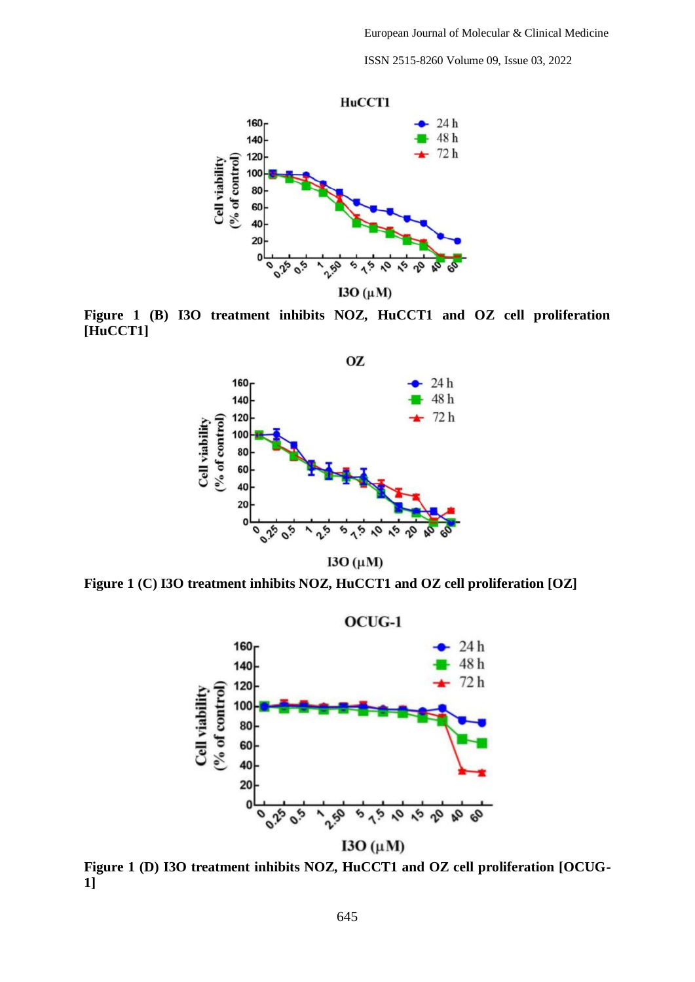ISSN 2515-8260 Volume 09, Issue 03, 2022



**Figure 1 (B) I3O treatment inhibits NOZ, HuCCT1 and OZ cell proliferation [HuCCT1]**



I3O  $(\mu M)$ 

**Figure 1 (C) I3O treatment inhibits NOZ, HuCCT1 and OZ cell proliferation [OZ]**



**Figure 1 (D) I3O treatment inhibits NOZ, HuCCT1 and OZ cell proliferation [OCUG-1]**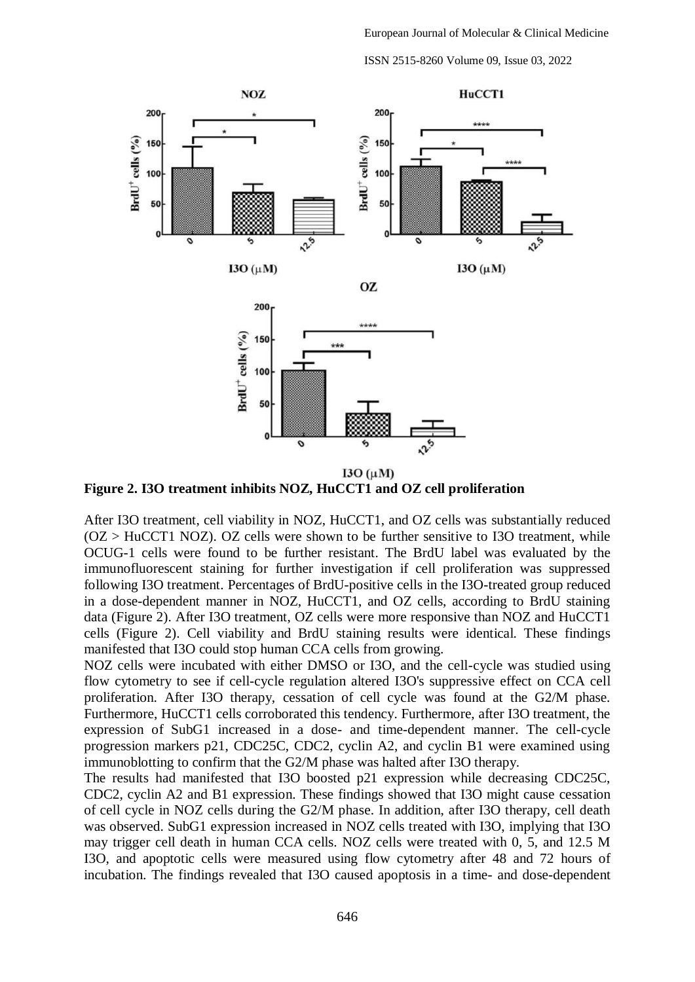ISSN 2515-8260 Volume 09, Issue 03, 2022



**Figure 2. I3O treatment inhibits NOZ, HuCCT1 and OZ cell proliferation**

After I3O treatment, cell viability in NOZ, HuCCT1, and OZ cells was substantially reduced  $(OZ > HuCCT1 NOZ)$ .  $OZ$  cells were shown to be further sensitive to I3O treatment, while OCUG-1 cells were found to be further resistant. The BrdU label was evaluated by the immunofluorescent staining for further investigation if cell proliferation was suppressed following I3O treatment. Percentages of BrdU-positive cells in the I3O-treated group reduced in a dose-dependent manner in NOZ, HuCCT1, and OZ cells, according to BrdU staining data (Figure 2). After I3O treatment, OZ cells were more responsive than NOZ and HuCCT1 cells (Figure 2). Cell viability and BrdU staining results were identical. These findings manifested that I3O could stop human CCA cells from growing.

NOZ cells were incubated with either DMSO or I3O, and the cell-cycle was studied using flow cytometry to see if cell-cycle regulation altered I3O's suppressive effect on CCA cell proliferation. After I3O therapy, cessation of cell cycle was found at the G2/M phase. Furthermore, HuCCT1 cells corroborated this tendency. Furthermore, after I3O treatment, the expression of SubG1 increased in a dose- and time-dependent manner. The cell-cycle progression markers p21, CDC25C, CDC2, cyclin A2, and cyclin B1 were examined using immunoblotting to confirm that the G2/M phase was halted after I3O therapy.

The results had manifested that I3O boosted p21 expression while decreasing CDC25C, CDC2, cyclin A2 and B1 expression. These findings showed that I3O might cause cessation of cell cycle in NOZ cells during the G2/M phase. In addition, after I3O therapy, cell death was observed. SubG1 expression increased in NOZ cells treated with I3O, implying that I3O may trigger cell death in human CCA cells. NOZ cells were treated with 0, 5, and 12.5 M I3O, and apoptotic cells were measured using flow cytometry after 48 and 72 hours of incubation. The findings revealed that I3O caused apoptosis in a time- and dose-dependent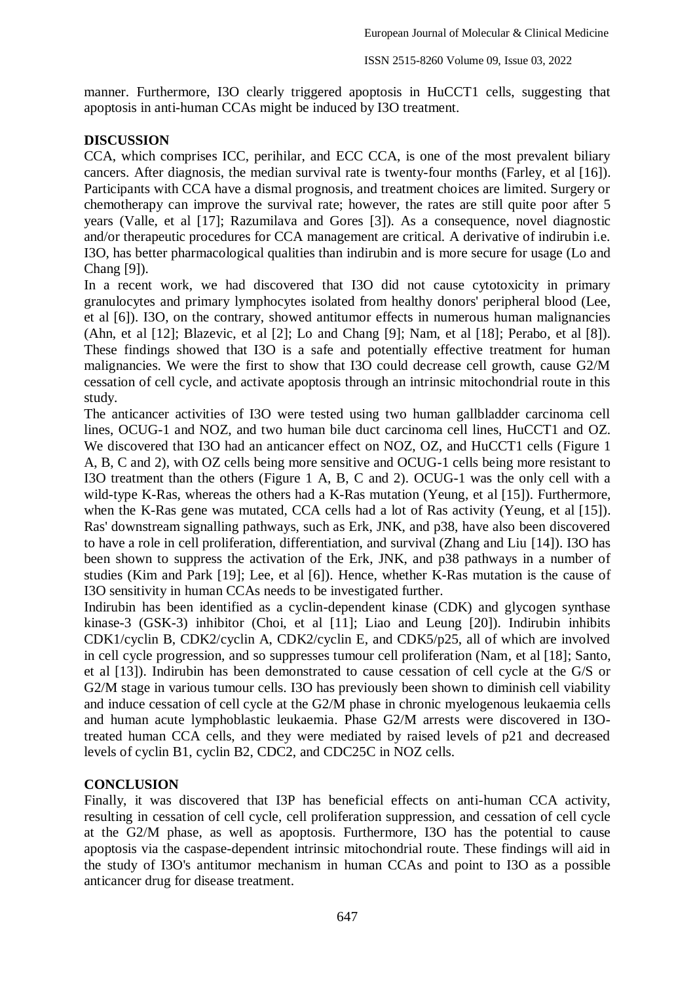manner. Furthermore, I3O clearly triggered apoptosis in HuCCT1 cells, suggesting that apoptosis in anti-human CCAs might be induced by I3O treatment.

# **DISCUSSION**

CCA, which comprises ICC, perihilar, and ECC CCA, is one of the most prevalent biliary cancers. After diagnosis, the median survival rate is twenty-four months (Farley, et al [16]). Participants with CCA have a dismal prognosis, and treatment choices are limited. Surgery or chemotherapy can improve the survival rate; however, the rates are still quite poor after 5 years (Valle, et al [17]; Razumilava and Gores [3]). As a consequence, novel diagnostic and/or therapeutic procedures for CCA management are critical. A derivative of indirubin i.e. I3O, has better pharmacological qualities than indirubin and is more secure for usage (Lo and Chang [9]).

In a recent work, we had discovered that I3O did not cause cytotoxicity in primary granulocytes and primary lymphocytes isolated from healthy donors' peripheral blood (Lee, et al [6]). I3O, on the contrary, showed antitumor effects in numerous human malignancies (Ahn, et al [12]; Blazevic, et al [2]; Lo and Chang [9]; Nam, et al [18]; Perabo, et al [8]). These findings showed that I3O is a safe and potentially effective treatment for human malignancies. We were the first to show that I3O could decrease cell growth, cause G2/M cessation of cell cycle, and activate apoptosis through an intrinsic mitochondrial route in this study.

The anticancer activities of I3O were tested using two human gallbladder carcinoma cell lines, OCUG-1 and NOZ, and two human bile duct carcinoma cell lines, HuCCT1 and OZ. We discovered that I3O had an anticancer effect on NOZ, OZ, and HuCCT1 cells (Figure 1 A, B, C and 2), with OZ cells being more sensitive and OCUG-1 cells being more resistant to I3O treatment than the others (Figure 1 A, B, C and 2). OCUG-1 was the only cell with a wild-type K-Ras, whereas the others had a K-Ras mutation (Yeung, et al [15]). Furthermore, when the K-Ras gene was mutated, CCA cells had a lot of Ras activity (Yeung, et al [15]). Ras' downstream signalling pathways, such as Erk, JNK, and p38, have also been discovered to have a role in cell proliferation, differentiation, and survival (Zhang and Liu [14]). I3O has been shown to suppress the activation of the Erk, JNK, and p38 pathways in a number of studies (Kim and Park [19]; Lee, et al [6]). Hence, whether K-Ras mutation is the cause of I3O sensitivity in human CCAs needs to be investigated further.

Indirubin has been identified as a cyclin-dependent kinase (CDK) and glycogen synthase kinase-3 (GSK-3) inhibitor (Choi, et al [11]; Liao and Leung [20]). Indirubin inhibits CDK1/cyclin B, CDK2/cyclin A, CDK2/cyclin E, and CDK5/p25, all of which are involved in cell cycle progression, and so suppresses tumour cell proliferation (Nam, et al [18]; Santo, et al [13]). Indirubin has been demonstrated to cause cessation of cell cycle at the G/S or G2/M stage in various tumour cells. I3O has previously been shown to diminish cell viability and induce cessation of cell cycle at the G2/M phase in chronic myelogenous leukaemia cells and human acute lymphoblastic leukaemia. Phase G2/M arrests were discovered in I3Otreated human CCA cells, and they were mediated by raised levels of p21 and decreased levels of cyclin B1, cyclin B2, CDC2, and CDC25C in NOZ cells.

# **CONCLUSION**

Finally, it was discovered that I3P has beneficial effects on anti-human CCA activity, resulting in cessation of cell cycle, cell proliferation suppression, and cessation of cell cycle at the G2/M phase, as well as apoptosis. Furthermore, I3O has the potential to cause apoptosis via the caspase-dependent intrinsic mitochondrial route. These findings will aid in the study of I3O's antitumor mechanism in human CCAs and point to I3O as a possible anticancer drug for disease treatment.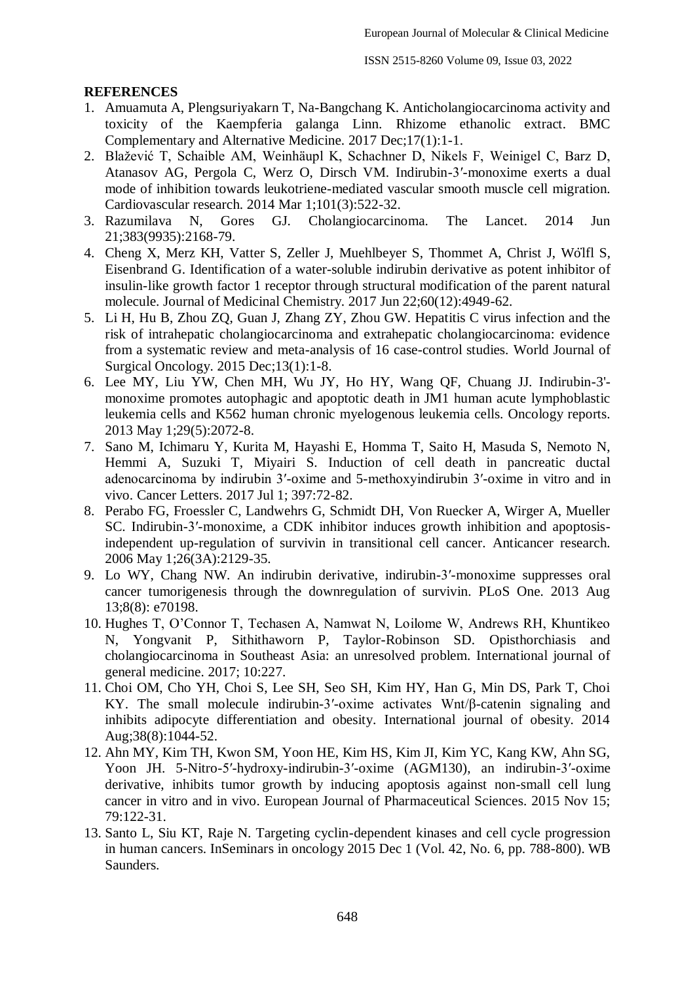# **REFERENCES**

- 1. Amuamuta A, Plengsuriyakarn T, Na-Bangchang K. Anticholangiocarcinoma activity and toxicity of the Kaempferia galanga Linn. Rhizome ethanolic extract. BMC Complementary and Alternative Medicine. 2017 Dec;17(1):1-1.
- 2. Blažević T, Schaible AM, Weinhäupl K, Schachner D, Nikels F, Weinigel C, Barz D, Atanasov AG, Pergola C, Werz O, Dirsch VM. Indirubin-3′-monoxime exerts a dual mode of inhibition towards leukotriene-mediated vascular smooth muscle cell migration. Cardiovascular research. 2014 Mar 1;101(3):522-32.
- 3. Razumilava N, Gores GJ. Cholangiocarcinoma. The Lancet. 2014 Jun 21;383(9935):2168-79.
- 4. Cheng X, Merz KH, Vatter S, Zeller J, Muehlbeyer S, Thommet A, Christ J, Wölfl S, Eisenbrand G. Identification of a water-soluble indirubin derivative as potent inhibitor of insulin-like growth factor 1 receptor through structural modification of the parent natural molecule. Journal of Medicinal Chemistry. 2017 Jun 22;60(12):4949-62.
- 5. Li H, Hu B, Zhou ZQ, Guan J, Zhang ZY, Zhou GW. Hepatitis C virus infection and the risk of intrahepatic cholangiocarcinoma and extrahepatic cholangiocarcinoma: evidence from a systematic review and meta-analysis of 16 case-control studies. World Journal of Surgical Oncology. 2015 Dec;13(1):1-8.
- 6. Lee MY, Liu YW, Chen MH, Wu JY, Ho HY, Wang QF, Chuang JJ. Indirubin-3' monoxime promotes autophagic and apoptotic death in JM1 human acute lymphoblastic leukemia cells and K562 human chronic myelogenous leukemia cells. Oncology reports. 2013 May 1;29(5):2072-8.
- 7. Sano M, Ichimaru Y, Kurita M, Hayashi E, Homma T, Saito H, Masuda S, Nemoto N, Hemmi A, Suzuki T, Miyairi S. Induction of cell death in pancreatic ductal adenocarcinoma by indirubin 3′-oxime and 5-methoxyindirubin 3′-oxime in vitro and in vivo. Cancer Letters. 2017 Jul 1; 397:72-82.
- 8. Perabo FG, Froessler C, Landwehrs G, Schmidt DH, Von Ruecker A, Wirger A, Mueller SC. Indirubin-3′-monoxime, a CDK inhibitor induces growth inhibition and apoptosisindependent up-regulation of survivin in transitional cell cancer. Anticancer research. 2006 May 1;26(3A):2129-35.
- 9. Lo WY, Chang NW. An indirubin derivative, indirubin-3′-monoxime suppresses oral cancer tumorigenesis through the downregulation of survivin. PLoS One. 2013 Aug 13;8(8): e70198.
- 10. Hughes T, O'Connor T, Techasen A, Namwat N, Loilome W, Andrews RH, Khuntikeo N, Yongvanit P, Sithithaworn P, Taylor-Robinson SD. Opisthorchiasis and cholangiocarcinoma in Southeast Asia: an unresolved problem. International journal of general medicine. 2017; 10:227.
- 11. Choi OM, Cho YH, Choi S, Lee SH, Seo SH, Kim HY, Han G, Min DS, Park T, Choi KY. The small molecule indirubin-3′-oxime activates Wnt/β-catenin signaling and inhibits adipocyte differentiation and obesity. International journal of obesity. 2014 Aug;38(8):1044-52.
- 12. Ahn MY, Kim TH, Kwon SM, Yoon HE, Kim HS, Kim JI, Kim YC, Kang KW, Ahn SG, Yoon JH. 5-Nitro-5′-hydroxy-indirubin-3′-oxime (AGM130), an indirubin-3′-oxime derivative, inhibits tumor growth by inducing apoptosis against non-small cell lung cancer in vitro and in vivo. European Journal of Pharmaceutical Sciences. 2015 Nov 15; 79:122-31.
- 13. Santo L, Siu KT, Raje N. Targeting cyclin-dependent kinases and cell cycle progression in human cancers. InSeminars in oncology 2015 Dec 1 (Vol. 42, No. 6, pp. 788-800). WB Saunders.